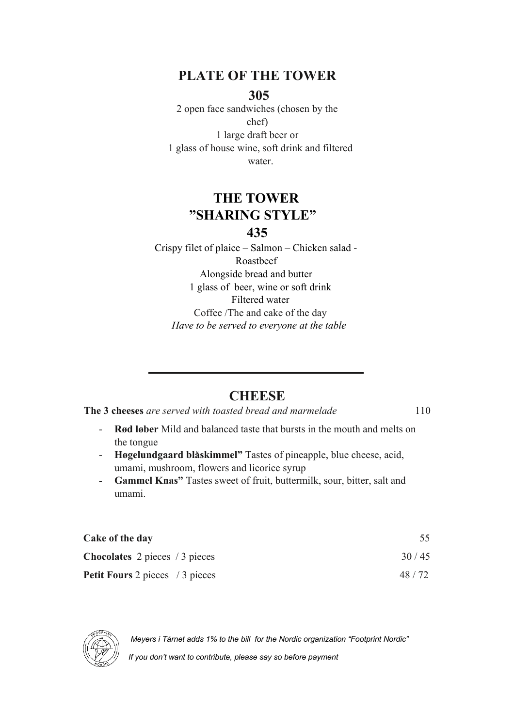## **PLATE OF THE TOWER**

#### **305**

2 open face sandwiches (chosen by the chef) 1 large draft beer or 1 glass of house wine, soft drink and filtered water.

## **THE TOWER "SHARING STYLE" 435**

Crispy filet of plaice – Salmon – Chicken salad - Roastbeef Alongside bread and butter 1 glass of beer, wine or soft drink Filtered water Coffee /The and cake of the day *Have to be served to everyone at the table*

### **CHEESE**

**The 3 cheeses** are served with toasted bread and marmelade 110

- **Rød løber** Mild and balanced taste that bursts in the mouth and melts on the tongue
- **Høgelundgaard blåskimmel"** Tastes of pineapple, blue cheese, acid, umami, mushroom, flowers and licorice syrup
- **Gammel Knas"** Tastes sweet of fruit, buttermilk, sour, bitter, salt and umami.

| Cake of the day                                  |       |
|--------------------------------------------------|-------|
| <b>Chocolates</b> 2 pieces $/3$ pieces           | 30/45 |
| <b>Petit Fours</b> 2 pieces $\frac{1}{3}$ pieces | 48/72 |



 *Meyers i Tårnet adds 1% to the bill for the Nordic organization "Footprint Nordic"*

 *If you don't want to contribute, please say so before payment*